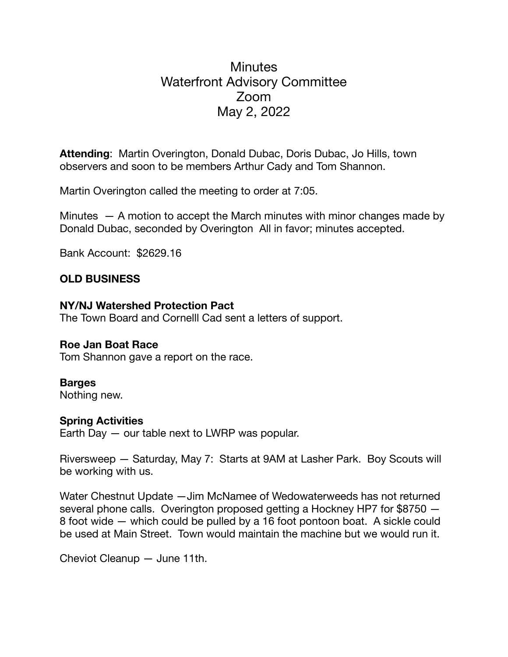# **Minutes** Waterfront Advisory Committee Zoom May 2, 2022

**Attending**: Martin Overington, Donald Dubac, Doris Dubac, Jo Hills, town observers and soon to be members Arthur Cady and Tom Shannon.

Martin Overington called the meeting to order at 7:05.

Minutes — A motion to accept the March minutes with minor changes made by Donald Dubac, seconded by Overington All in favor; minutes accepted.

Bank Account: \$2629.16

## **OLD BUSINESS**

#### **NY/NJ Watershed Protection Pact**

The Town Board and Cornelll Cad sent a letters of support.

## **Roe Jan Boat Race**

Tom Shannon gave a report on the race.

## **Barges**

Nothing new.

## **Spring Activities**

Earth Day — our table next to LWRP was popular.

Riversweep — Saturday, May 7: Starts at 9AM at Lasher Park. Boy Scouts will be working with us.

Water Chestnut Update - Jim McNamee of Wedowaterweeds has not returned several phone calls. Overington proposed getting a Hockney HP7 for \$8750 — 8 foot wide — which could be pulled by a 16 foot pontoon boat. A sickle could be used at Main Street. Town would maintain the machine but we would run it.

Cheviot Cleanup — June 11th.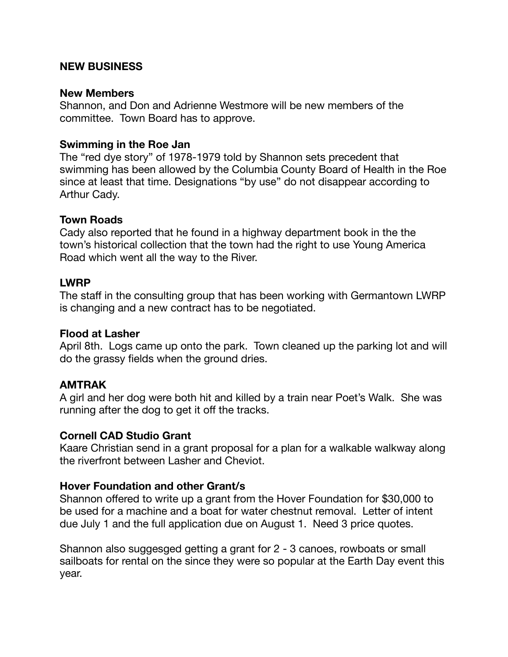#### **NEW BUSINESS**

#### **New Members**

Shannon, and Don and Adrienne Westmore will be new members of the committee. Town Board has to approve.

#### **Swimming in the Roe Jan**

The "red dye story" of 1978-1979 told by Shannon sets precedent that swimming has been allowed by the Columbia County Board of Health in the Roe since at least that time. Designations "by use" do not disappear according to Arthur Cady.

#### **Town Roads**

Cady also reported that he found in a highway department book in the the town's historical collection that the town had the right to use Young America Road which went all the way to the River.

## **LWRP**

The staff in the consulting group that has been working with Germantown LWRP is changing and a new contract has to be negotiated.

#### **Flood at Lasher**

April 8th. Logs came up onto the park. Town cleaned up the parking lot and will do the grassy fields when the ground dries.

## **AMTRAK**

A girl and her dog were both hit and killed by a train near Poet's Walk. She was running after the dog to get it off the tracks.

## **Cornell CAD Studio Grant**

Kaare Christian send in a grant proposal for a plan for a walkable walkway along the riverfront between Lasher and Cheviot.

#### **Hover Foundation and other Grant/s**

Shannon offered to write up a grant from the Hover Foundation for \$30,000 to be used for a machine and a boat for water chestnut removal. Letter of intent due July 1 and the full application due on August 1. Need 3 price quotes.

Shannon also suggesged getting a grant for 2 - 3 canoes, rowboats or small sailboats for rental on the since they were so popular at the Earth Day event this year.